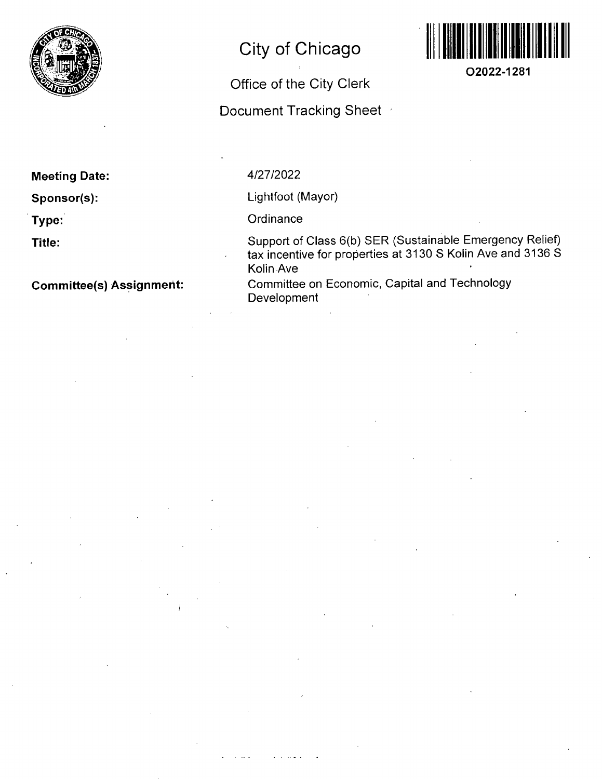

## **City of Chicago**

## Office of the City Clerk

Document Tracking Sheet



**O2022-1281** 

#### **Meeting Date:**

**Sponsor(s):** 

**Type:** 

**Title:** 

**Committee(s) Assignment:** 

#### 4/27/2022

Lightfoot (Mayor)

**Ordinance** 

Support of Class 6(b) SER (Sustainable Emergency Relief) tax incentive for properties at 3130 S Kolin Ave and 3136 S Kolin Ave

Committee on Economic, Capital and Technology Development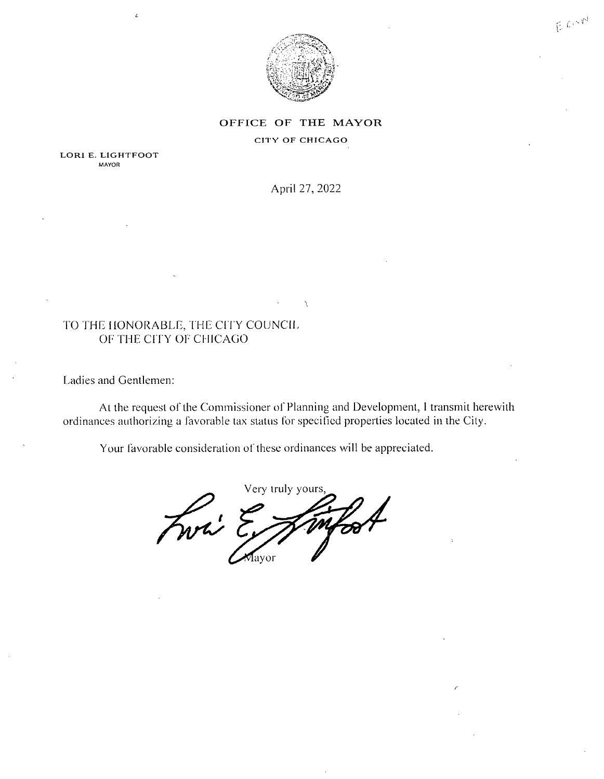

ECOND

#### OFFICE OF THE MAYOR

CITY OF CHICAGO

LORI E. LIGHTFOOT MAYOR

April 27, 2022

#### TO THE HONORABLE, THE CITY COUNCIL OF THE CffY OF CHICAGO

Ladies and Gentlemen:

At the request of the Commissioner of Planning and Development, I transmit herewith ordinances authorizing a favorable tax status for specified properties located in the City.

Your favorable consideration of these ordinances will be appreciated.

Very truly yours. Fwri E mf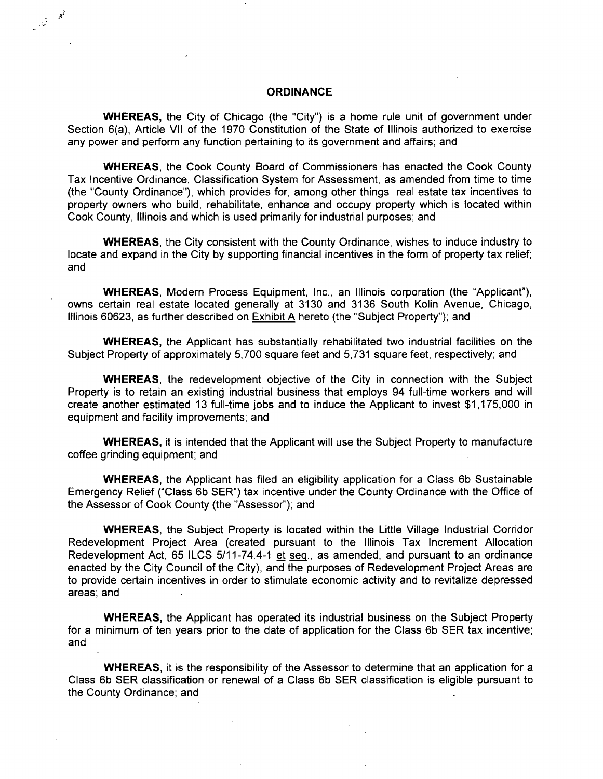#### **ORDINANCE**

 $\mathbb{R}^n$ 

WHEREAS, the City of Chicago (the "City") is a home rule unit of government under Section 6(a), Article Vll of the 1970 Constitution of the State of Illinois authorized to exercise any power and perform any function pertaining to its government and affairs; and

WHEREAS, the Cook County Board of Commissioners has enacted the Cook County Tax Incentive Ordinance, Classification System for Assessment, as amended from time to time (the "County Ordinance"), which provides for, among other things, real estate tax incentives to property owners who build, rehabilitate, enhance and occupy property which is located within Cook County, Illinois and which is used primarily for industrial purposes; and

WHEREAS, the City consistent with the County Ordinance, wishes to induce industry to locate and expand in the City by supporting financial incentives in the form of property tax relief; and

WHEREAS, Modern Process Equipment, Inc., an Illinois corporation (the "Applicant"), owns certain real estate located generally at 3130 and 3136 South Kolin Avenue, Chicago, Illinois 60623, as further described on Exhibit A hereto (the "Subject Property"); and

WHEREAS, the Applicant has substantially rehabilitated two industrial facilities on the Subject Property of approximately 5,700 square feet and 5,731 square feet, respectively; and

WHEREAS, the redevelopment objective of the City in connection with the Subject Property is to retain an existing industrial business that employs 94 full-time workers and will create another estimated 13 full-time jobs and to induce the Applicant to invest \$1,175,000 in equipment and facility improvements; and

WHEREAS, it is intended that the Applicant will use the Subject Property to manufacture coffee grinding equipment; and

WHEREAS, the Applicant has filed an eligibility application for a Class 6b Sustainable Emergency Relief ("Class 6b SER") tax incentive under the County Ordinance with the Office of the Assessor of Cook County (the "Assessor"); and

WHEREAS, the Subject Property is located within the Little Village Industrial Corridor Redevelopment Project Area (created pursuant to the Illinois Tax Increment Allocation Redevelopment Act, 65 ILCS 5/11-74.4-1 et seg., as amended, and pursuant to an ordinance enacted by the City Council of the City), and the purposes of Redevelopment Project Areas are to provide certain incentives in order to stimulate economic activity and to revitalize depressed areas; and

WHEREAS, the Applicant has operated its industrial business on the Subject Property for a minimum of ten years prior to the date of application for the Class 6b SER tax incentive; and

WHEREAS, it is the responsibility of the Assessor to determine that an application for a Class 6b SER classification or renewal of a Class 6b SER classification is eligible pursuant to the County Ordinance; and

 $\mathcal{L}_{\mathcal{A}}$  ,  $\mathcal{L}_{\mathcal{A}}$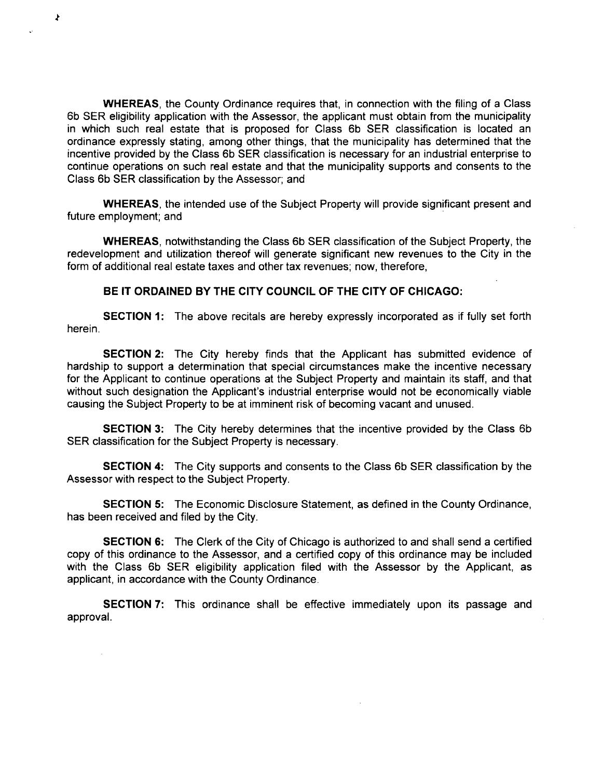WHEREAS, the County Ordinance requires that, in connection with the filing of a Class 6b SER eligibility application with the Assessor, the applicant must obtain from the municipality in which such real estate that is proposed for Class 6b SER classification is located an ordinance expressly stating, among other things, that the municipality has determined that the incentive provided by the Class 6b SER classification is necessary for an industrial enterprise to continue operations on such real estate and that the municipality supports and consents to the Class 6b SER classification by the Assessor; and

≯

WHEREAS, the intended use of the Subject Property will provide significant present and future employment; and

WHEREAS, notwithstanding the Class 6b SER classification of the Subject Property, the redevelopment and utilization thereof will generate significant new revenues to the City in the form of additional real estate taxes and other tax revenues; now, therefore,

#### **BE IT ORDAINED BY THE CITY COUNCIL OF THE CITY OF CHICAGO:**

SECTION 1: The above recitals are hereby expressly incorporated as if fully set forth herein.

SECTION 2: The City hereby finds that the Applicant has submitted evidence of hardship to support a determination that special circumstances make the incentive necessary for the Applicant to continue operations at the Subject Property and maintain its staff, and that without such designation the Applicant's industrial enterprise would not be economically viable causing the Subject Property to be at imminent risk of becoming vacant and unused.

SECTION 3: The City hereby determines that the incentive provided by the Class 6b SER classification for the Subject Property is necessary.

SECTION 4: The City supports and consents to the Class 6b SER classification by the Assessor with respect to the Subject Property.

SECTION 5: The Economic Disclosure Statement, as defined in the County Ordinance, has been received and filed by the City.

**SECTION 6:** The Clerk of the City of Chicago is authorized to and shall send a certified copy of this ordinance to the Assessor, and a certified copy of this ordinance may be included with the Class 6b SER eligibility application filed with the Assessor by the Applicant, as applicant, in accordance with the County Ordinance.

SECTION 7: This ordinance shall be effective immediately upon its passage and approval.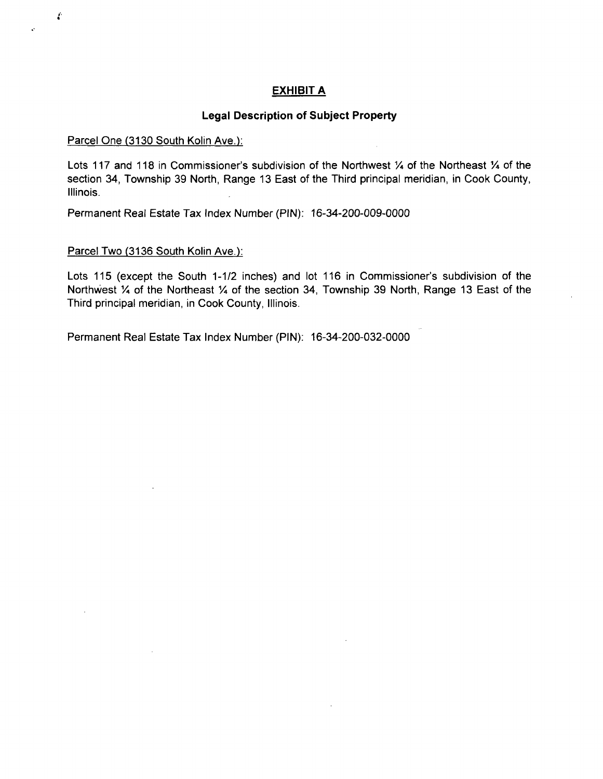#### **EXHIBIT A**

#### **Legal Description of Subject Property**

#### Parcel One (3130 South Kolin Ave.):

X

Lots 117 and 118 in Commissioner's subdivision of the Northwest 1/4 of the Northeast 1/4 of the section 34, Township 39 North, Range 13 East of the Third principal meridian, in Cook County, Illinois.

Permanent Real Estate Tax Index Number (PIN): 16-34-200-009-0000

#### Parcel Two (3136 South Kolin Ave.):

Lots 115 (except the South 1-1/2 inches) and lot 116 in Commissioner's subdivision of the Northwest % of the Northeast % of the section 34, Township 39 North, Range 13 East of the Third principal meridian, in Cook County, Illinois.

Permanent Real Estate Tax Index Number (PIN): 16-34-200-032-0000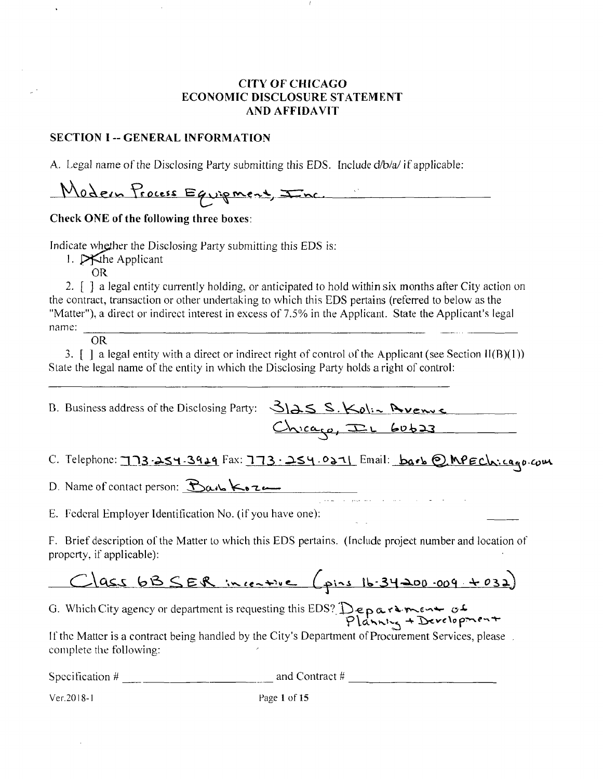#### CITV OF CHICAGO ECONOMIC DISCLOSURE STATEMENT AND AFFIDAVIT

#### SECTION I -- GENERAL INFORMATION

A. Legal name of the Disclosing Party submitting this EDS. Include d/b/a/ if applicable:

Modern Process Equipment, Inc.

### Check ONE of the following three boxes:

Indicate whether the Disclosing Party submitting this EDS is:

1.  $\triangleright$  The Applicant

OR

2. [ ] a legal entity currently holding, or anticipated to hold within six months after City action on the contract, transaction or other undertaking to which this EDS pertains (referred to below as the "Matier"), a direct or indirect inierest in excess of 7.5% in the Applicant. State the Applicant's legal name:

**OR** 

3.  $\lceil \cdot \rceil$  a legal entity with a direct or indirect right of control of the Applicant (see Section II(B)(1)) State the legal name of the entity in which the Disclosing Party holds a right of control:

| B. Business address of the Disclosing Party: $\frac{S}{S}$ . $\frac{S}{S}$ . $\frac{K_0!}{S}$ . Avenue |                         |
|--------------------------------------------------------------------------------------------------------|-------------------------|
|                                                                                                        | $Chica_{(0)}$ ILL 60623 |

C. Telephone: 173-254-3919 Fax: 173.254.0271 Email:  $bar$  @ MPECh:cago.com

D. Name of contact person: <u>Barb Koze</u>

E. Federal Employer Identification No. (if you have one):

F. Brief description of the Matter to which this EDS pertains. (Include project number and location of property, if applicable):

Class 6BSER incentive (pins 16-34200.009 +032)

G. Which City agency or department is requesting this EDS? Deparament of

If the Matter is a contract being handled by the City's Department of Procurement Services, please complete the following:

*Specification # and Contract U* 

Ver. 2018-1 Page 1 of 15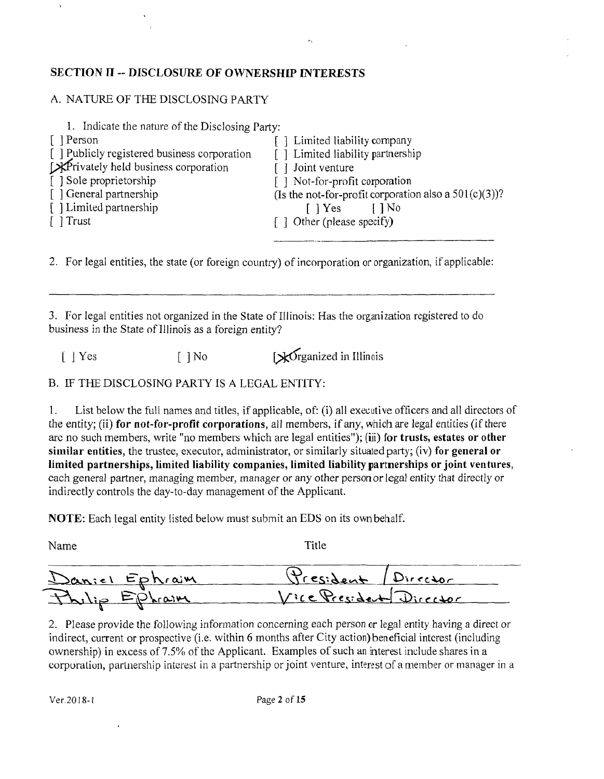#### **SECTION H ~ DISCLOSURE OF OWNERSHIP INTERESTS**

#### A. NATURE OF THE DISCLOSING PARTY

| 1. Indicate the nature of the Disclosing Party: |                                                          |
|-------------------------------------------------|----------------------------------------------------------|
| [ Person                                        | Fell Limited liability company                           |
| [ ] Publicly registered business corporation    | [] Limited liability partnership                         |
| Experimently held business corporation          | [ ] Joint venture                                        |
| [ ] Sole proprietorship                         | [] Not-for-profit corporation                            |
| [ ] General partnership                         | (Is the not-for-profit corporation also a $501(c)(3)$ )? |
| [] Limited partnership                          | $\lceil \ \rceil$ Yes<br>$\lceil \cdot \rceil$ No        |
| $\lceil \ \rceil$ Trust                         | [] Other (please specify)                                |
|                                                 |                                                          |

2. For legal entities, the state (or foreign country) of incorporation or organization, if applicable:

3. For legal entities not organized in the State of Illinois: Has the organization registered to do business in the State of Illinois as a foreign entity?

 $[ | Yes$  [ ] No [ $\mathbf{\times}$  Grganized in Illinois

B. EF THE DISCLOSING PARTY IS A LEGAL ENTITY:

1. List below the full names and titles, if applicable, of: (i) all executive officers and all directors of the entity; (ii) for not-for-profit corporations, all members, if any, which are legal entities (if there arc no such members, write "no members which are legal entities"); (iii) for trusts, estates or other similar entities, the trustee, executor, administrator, or similarly situated party; (iv) for general or limited partnerships, liniited liability companies, limited liability partnerships or joint ventures, each general partner, managing member, manager or any other person or legal entity that directly or indirectly controls the day-to-day management of the Applicant.

NOTE: Each legal entity listed below must submit an EDS on its own behalf.

| Name           | Title                   |  |
|----------------|-------------------------|--|
| Daniel Ephraim | President / Director    |  |
| Philip Ephraim | Vice President Director |  |

2. Please provide the following information concerning each person or legal entity having a direct or indirect, current or prospective (i.e. within 6 months after City action) beneficial interest (including ownership) in excess of 7.5% of the Applicant. Examples of such an interest include shares in a corporation, parlnership interest in a partnership or joint venture, interest of a member or manager in a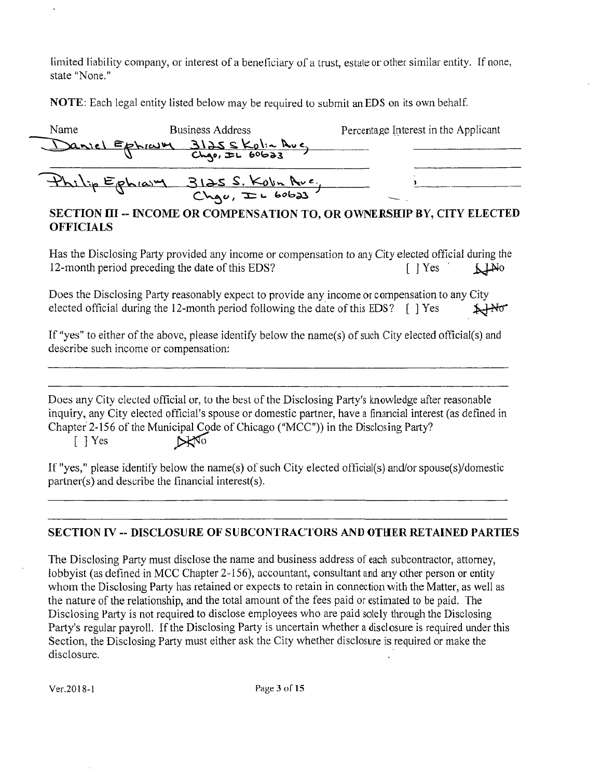limited liability company, or interest of a beneficiary of a trust, estate or other similar entity. If none, state "None."

NOTE: Each legal entity listed below may be required to submit an EDS on its own behalf.

| Name | <b>Business Address</b>           | Percentage Interest in the Applicant |
|------|-----------------------------------|--------------------------------------|
|      | Daniel Ephraim 3125 skolin Ave,   |                                      |
|      | Philip Ephraim 3125 S. Kolin Ave. |                                      |

### SECTION III -- INCOME OR COMPENSATION TO, OR OWNERSHIP BY, CITY ELECTED OFFICIALS

Has the Disclosing Party provided any income or compensation to any City elected official during the 12-month period preceding the date of this EDS?  $[ | \text{Yes } ]$ 

Does the Disclosing Party reasonably expeci to provide any income or compensation lo any City elected official during the 12-month period following the date of this EDS?  $\lceil \cdot \rceil$  Yes  $\star$  No

If "yes" to either of the above, please identify below the name(s) of such City elected official(s) and describe such income or compensation:

Does any City elected official or, to the best of the Disclosing Party's knowledge after reasonable inquiry, any City elected official's spouse or domestic partner, have a financial interest (as defined in Chapter 2-156 of the Municipal Code of Chicago ("MCC")) in the Disclosing Party? [ ] Yes **DENO** 

If "yes," please identify below the name(s) of such City elected official(s) and/or spouse(s)/domestic partner(s) and describe the financial interest(s).

## SECTION rv - DISCLOSURE OF SUBCONTRACTORS AND OTHER RETAINED PARTIES

The Disclosing Party must disclose the name and business address of each subcontractor, attorney, lobbyist (as defined in MCC Chapter 2-156), accountant, consultant and any other person or entity whom the Disclosing Party has retained or expects to retain in connection with the Matter, as well as the nature of the relationship, and the total amount of the fees paid or estimated to be paid. The Disclosing Party is not required to disclose employees who are paid solely through the Disclosing Party's regular payroll. If the Disclosing Party is uncertain whether a disclosure is required under this Section, the Disclosing Party must either ask the City whether disclosure is required or make the disclosure.

Ver.2018-1 Page 3 of 15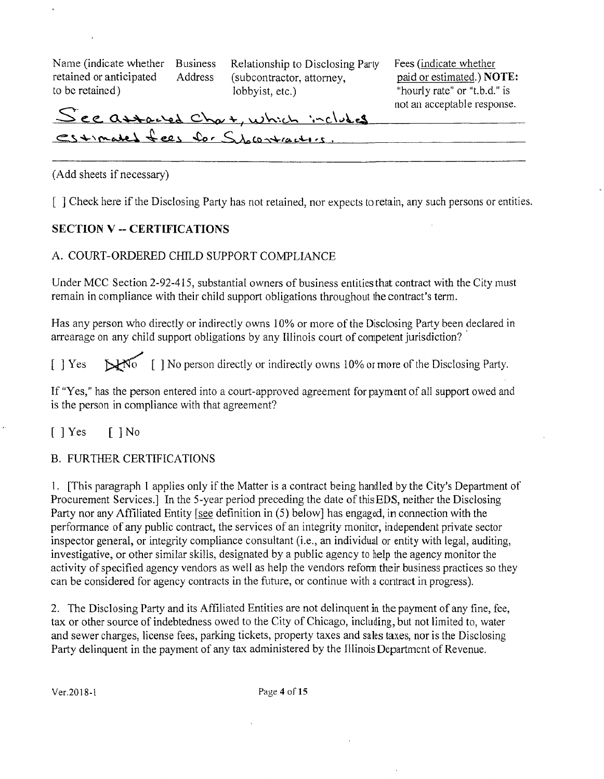Name (indicate whether Business Relationship to Disclosing Party Fees (indicate whether

retained or anticipated Address (subcontractor, attorney, paid or estimated.) **NOTE:** to be retained) lobbyist, etc.) "hourly rate" or "t.b.d." is

# See assacled Chart, which includes mot an acceptable response. estimated fees for Showtractors.

#### (Add sheets if necessary)

[ ] Check here if the Disclosing Party has not retained, nor expects to retain, any such persons or entities.

### **SECTION V ~ CERTIFICATIONS**

#### A. COURT-ORDERED CHILD SUPPORT COMPLIANCE

Under MCC Section 2-92-415, substantial owners of business entities that contract with the City must remain in compliance with their child support obligations throughout the contract's terra.

Has any person who directly or indirectly owns 10% or more of the Disclosing Party been declared in arrearage on any child support obligations by any Illinois court of competent jurisdiction?

[ ] Yes  $\mathbb{R}^{\mathbb{N}^{\bullet}}$  [ ] No person directly or indirectly owns 10% or more of the Disclosing Party.

If "Yes," has the person entered into a court-approved agreement for payment of all support owed and is the person in compliance with that agreement?

[ ] Yes [ ] No

#### B. FURTHER CERTIFICATIONS

1. [This paragraph 1 applies only if the Matter is a contract being handled by the City's Department of Procurement Services.] In the 5-year period preceding the date of this EDS, neither the Disclosing Party nor any Affiliated Entity [see definition in (5) below] has engaged, in connection with the performance of any public contract, the services of an integrity monitor, independent private sector inspector general, or integrity compliance consultant (i.e., an individual or entity with legal, auditing, investigative, or other similar skills, designated by a public agency to help the agency monitor the activity of specified agency vendors as well as help the vendors refomi their business practices so they can be considered for agency contracts in the future, or continue with a contract in progress).

2. The Disclosing Party and its Affiliated Entities are not delinquent in the payment of any fine, fee, tax or other source of indebtedness owed to the City of Chicago, including, but not limited to, water and sewer charges, license fees, parking tickets, property taxes and sales taxes, nor is the Disclosing Party delinquent in the payment of any tax administered by the Illinois Department of Revenue.

Ver.2018-1 Page 4 of 15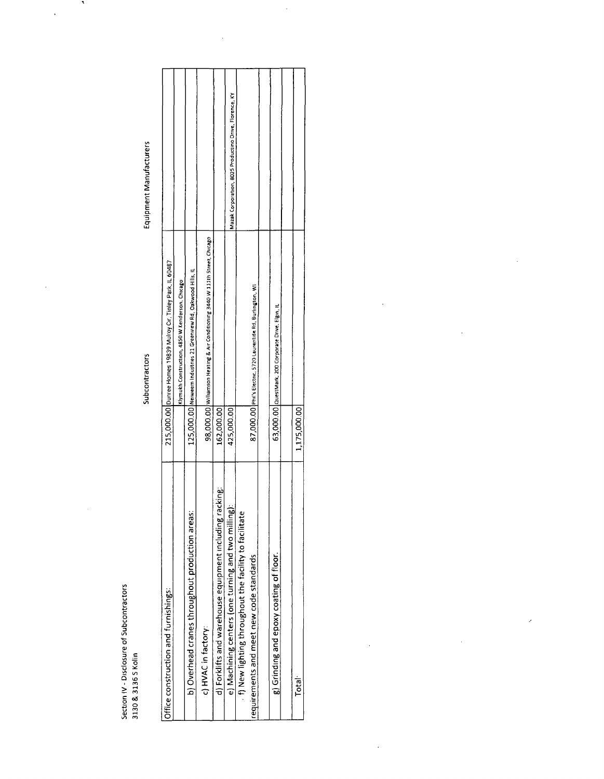**Q > o3** 

l,

Subcontractors

Equipment Manufacturers

 $\mathcal{F}_{\mathcal{S}}$ 

 $\ddot{\cdot}$ 

 $\ddot{\phantom{a}}$ 

| Office construction and furnishings:                    |              | 215,000.00 Dunree Homes 19839 Mulroy Cr. Tinley Park, IL 60487                 |                                                        |
|---------------------------------------------------------|--------------|--------------------------------------------------------------------------------|--------------------------------------------------------|
|                                                         |              | Klymukh Construction, 4850 W Kenderson, Chicago                                |                                                        |
| b) Overhead cranes throughout production areas:         |              | 125,000.00 Netweem Industries 21 Greenview Rd, Oakwood Hills, IL               |                                                        |
| c) HVAC in factory:                                     |              | 98,000.00   Williamson Heating & Air Conditioning 3440 W 111th Street, Chicago |                                                        |
| d) Forklifts and warehouse equipment including racking: | 162,000.00   |                                                                                |                                                        |
| e) Machining centers (one turning and two milling):     | 425,000.00   |                                                                                | Mazak Corporation, 8025 Productino Drive, Florence, KY |
| f) New lighting throughout the facility to facilitate   |              |                                                                                |                                                        |
| equirements and meet new code standards                 |              | 87,000.00 Phil's Electric, 5720 Laurentide Rd, Burlington, Wi                  |                                                        |
|                                                         |              |                                                                                |                                                        |
| g) Grinding and epoxy coating of floor.                 |              | 63,000.00   QuestMark, 200 Corporate Drive, Figm, IL                           |                                                        |
|                                                         |              |                                                                                |                                                        |
| Total                                                   | 1,175,000.00 |                                                                                |                                                        |
|                                                         |              |                                                                                |                                                        |

 $\ddot{\phantom{0}}$ 

 $\ddot{\phantom{a}}$ 

 $\ddot{\phantom{a}}$ 

 $\mathcal{S}$ 

 $\frac{1}{2}$ 

 $\frac{1}{2}$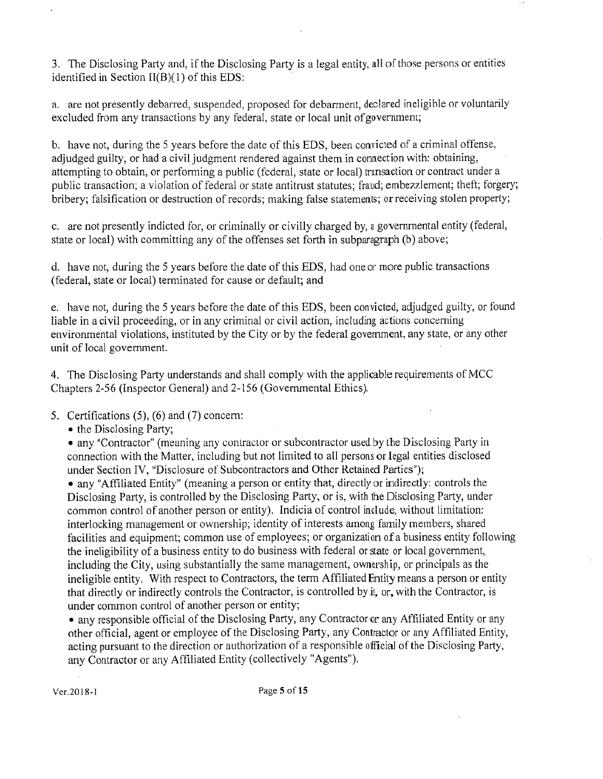3. The Disclosing Party and, if the Disclosing Party is a legal entity, all of those persons or entities identified in Section  $II(B)(1)$  of this EDS:

a. are not presently debarred, suspended, proposed for debarment, declared ineligible or voluntarily excluded from any transactions by any federal, state or local unit of government;

b. have not, during the 5 years before the date of this EDS, been convicted of a criminal offense, adjudged guilty, or had a civil judgment rendered against them in connection with: obtaining, attempting to obtain, or performing a public (federal, state or local) transaction or contract under a public transaction; a violation of federal or state antitrust statutes; fraud; embezzlement; theft; forgery; bribery; falsification or destruction of records; making false statements; or receiving stolen property;

c. are not presently indicted for, or criminally or civilly charged by, a governmental entity (federal, state or local) with committing any of the offenses set forth in subparagraph (b) above;

d. have not, during the 5 years before the date of this EDS, had oneor more public transactions (federal, state or local) terminated for cause or default; and

e. have not, during the 5 years before the date of this EDS, been convicted, adjudged guilty, or found liable in acivil proceeding, or in any criminal or civil action, including actions conceming environmental violations, instituted by the City or by the federal government, any state, or any other unit of local govemment.

4. The Disclosing Party understands and shall comply with the applicable requirements of MCC Chapters 2-56 (Inspector General) and 2-156 (Govemmental Ethics).

5. Certifications (5), (6) and (7) concem:

• the Disclosing Party;

• any "Contractor" (meaning any conlraclor or subcontractor used by the Disclosing Party in connection with the Matter, including but not limited to all persons or legal entities disclosed under Section IV, "Disclosure of Subcontractors and Other Retained Parties");

• any "Affiliated Entity" (meaning a person or entity that, directly or indirectly: controls the Disclosing Party, is controlled by the Disclosing Party, or is, wilh the Disclosing Party, under common control of another person or entity). Indicia of control include, without limitation: interlocking management or ownership; identity of interests among family members, shared facilities and equipment; common use of employees; or organization of a business entity following the ineligibility of a business entity to do business with federal or state or local government, including the City, using substantially the same management, ownership, or principals as the ineligible entity. With respect to Contractors, the term Affiliated Entity means a person or entity that directly or indirectly controls the Contractor, is controlled by i!, or, with the Contractor, is under common control of another person or entity;

• any responsible official of the Disclosing Party, any Contractor or any Affiliated Entity or any other official, agent or employee of the Disclosing Party, any Contractor or any Affiliated Entity, acting pursuant to the direction or authorization of a responsible official of the Disclosing Party, any Contractor or any Affiliated Entity (collectively "Agents").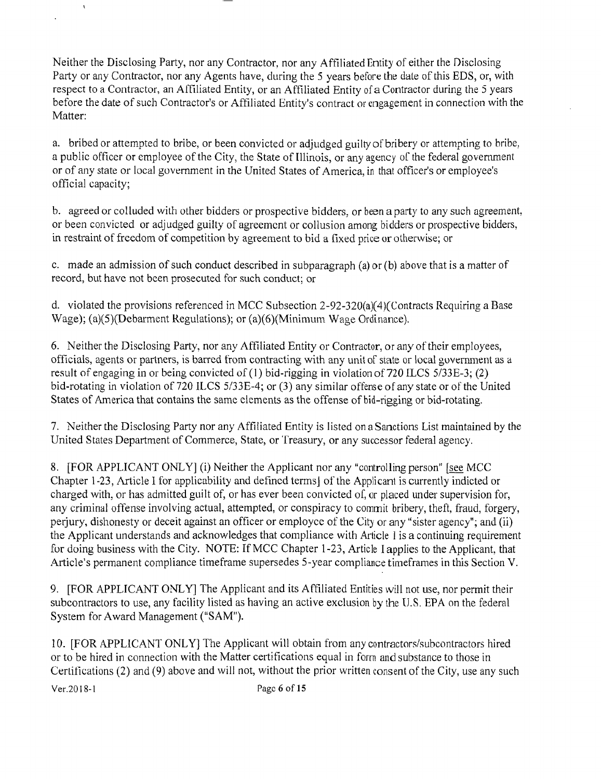Neither the Disclosing Party, nor any Contractor, nor any Affiliated Entity of either the Disclosing Party or any Contractor, nor any Agents have, during the 5 years before the date of this EDS, or, with respect to a Contractor, an Affiliated Entity, or an Affiliated Entity of a Contractor during the 5 years before the date of such Contractor's or Affiliated Entity's contract or engagement in connection with the Matter:

a. bribed or attempted to bribe, or been convicted or adjudged guilty of bribery or altempling to bribe, a public officer or employee of the City, the State of Illinois, or any agency of the federal government or of any slale or local govemment in the United States of America, in thai officer's or employee's official capacity;

b. agreed or colluded with other bidders or prospective bidders, or been a party to any such agreement, or been convicted or adjudged guilty of agreement or collusion among bidders or prospective bidders, in restraint of freedom of competition by agreement to bid a fixed price orotherwise; or

c. made an admission of such conduct described in subparagraph (a) or (b) above that is a matter of record, but have not been prosecuted for such conduct; or

d. violated the provisions referenced in MCC Subsection 2-92-320(a)(4)(Contracts Requiring a Base Wage); (a)(5)(Debarment Regulations); or (a)(6)(Minimum Wage Ordinance).

6. Neither the Disclosing Party, nor any Affiliated Entity or Contractor, or any of their employees, officials, agents or partners, is barred from contracting with any unit of state or local government as a result of engaging in or being convicted of (1) bid-rigging in violation of 720 ILCS 5/33E-3; (2) bid-rotating in violation of 720 ILCS 5/33E-4; or (3) any similar offense of any state or of the United States of America that contains the same elements as the offense of bid-rigging or bid-rotating.

7. Neither the Disclosing Party nor any Affiliated Entity is listed on a Sanctions List maintained by the United States Department of Commerce, State, or 'freasury, or any successor federal agency.

8. [FOR APPLICANT ONLY] (i) Neither the Applicant nor any "controlling person" [see MCC] Chapter 1-23, Article I for applicability and defined terms) of the Applicant is currently indicted or charged with, or has admilted guilt of, or has ever been convicted of, or placed under supervision for, any criminal offense involving actual, attempted, or conspiracy to commit bribery, theft, fraud, forgery, perjury, dishonesty or deceit against an officer or employee of the City or any "sister agency"; and (ii) the Applicant understands and acknowledges that compliance wilh Article 1 is a continuing requirement for doing business with the City. NOTE: If MCC Chapter 1-23, Article I applies to the Applicant, that Article's permanent compliance timeframe supersedes 5-year compliance timeframes in this Section V.

9. [FOR APPLICANT ONLY] The Applicant and its Affiliated Entities will not use, nor permit their subcontractors to use, any facility listed as having an active exclusion by the L'.S. EPA on the federal System for Award Management ("SAM").

10. [FOR APPLICANT ONLY] The Applicant will obtain from any contractors/subcontractors hired or to be hired in connection with the Matter certifications equal in form and substance to those in Certifications (2) and (9) above and will not, without the prior written consent of the City, use any such

 $\mathbf{r}$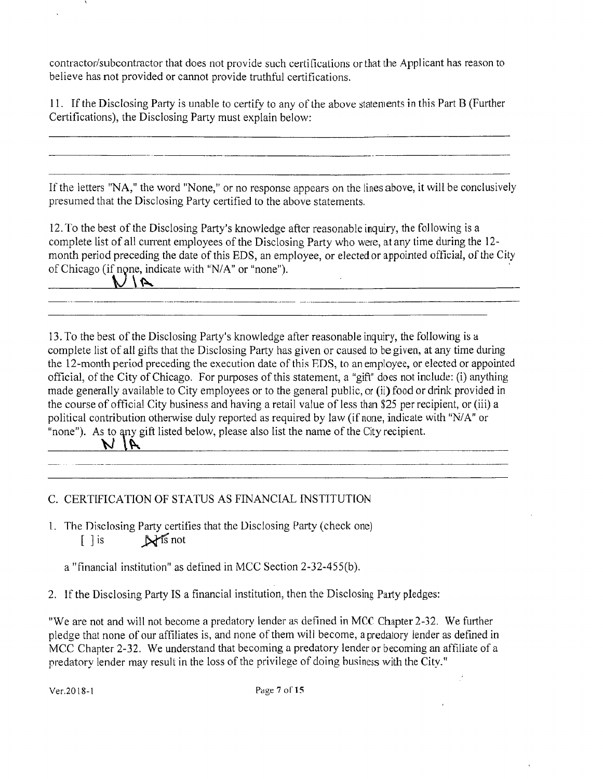contractor/subcontractor that does not provide such certifications or that the Applicant has reason to believe has not provided or cannot provide truthful certifications.

11. If the Disclosing Party is unable to certify to any of the above statenients in this Part B (Further Certifications), the Disclosing Party must explain below:

If the letters "NA," the word "None," or no response appears on the lines above, it will be conclusively presumed that the Disclosing Party certified to the above statements.

12. To the best of the Disclosing Party's knowledge after reasonable inquiry, the following is a complete list of all current employees of the Disclosing Party who were, at any time during the 12month period preceding the date of this EDS, an employee, or elected or appointed official, of the City of Chicago (if none, indicate with "N/A" or "none").

**-**

13. To the best of the Disclosing Party's knowledge after reasonable inquiry, the following is a complete list of all gifts that the Disclosing Party has given or caused to be given, at any time during the 12-month period preceding the execution date of this EDS, to an employee, or elected or appointed official, of the City of Chicago. For purposes of this statement, a "gift" does not include: (i) anything made generally available to City employees or to the general public, or (ii) food or drink provided in the course of official City business and having a retail value of less than \$25 per recipient, or (iii) a political contribution otherwise duly reported as required by law (if none, indicate with "N/A" or "none"). As to any gift listed below, please also list the name of the City recipient.

C. CERTIFICATION OF STATUS AS FINANCIAL INSTITUTION

I. The Disclosing Party certifies that the Disclosing Party (check one) [ ] is N<sup>ts</sup> not

a "financial institution" as defined in MCC Section 2-32-455(b).

2. If the Disclosing Party IS a financial institution, then the Disclosing Party pledges:

"We are not and will not become a predatory lender as defined in MCC Chapter 2-32. We further pledge that none of our affiliates is, and none of them will become, a predatory lender as defined in MCC Chapter 2-32. We understand that becoming a predatory lender or becoming an affiliate of a predatory lender may result in the loss of the privilege of doing business with the City."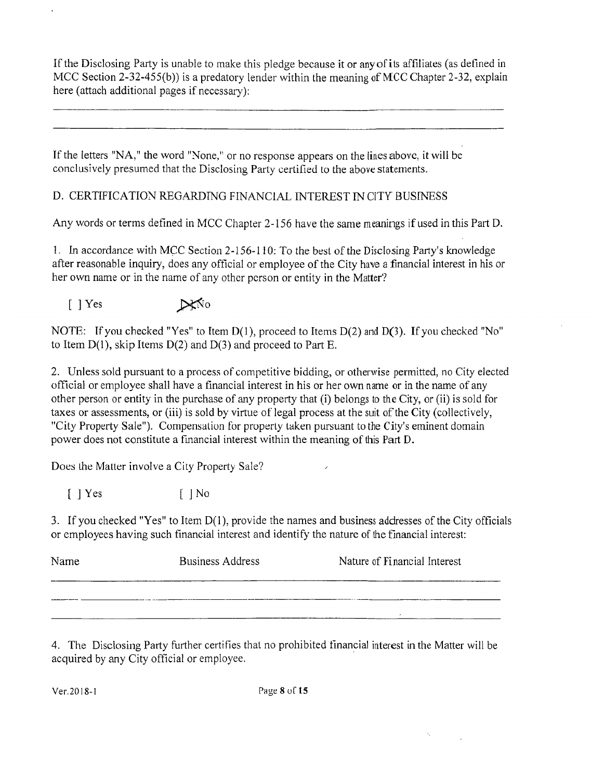If the Disclosing Party is unable to make this pledge because it or any of its affiliates (as defined in MCC Section 2-32-455(b)) is a predatory lender within the meaning of MCC Chapter 2-32, explain here (attach additional pages if necessary):

If the letters "NA," the word "None," or no response appears on the lines above, it will be conclusively presumed that the Disclosing Parly certified to the above statements.

## D. CERTIFICATION REGARDING FINANCIAL INTEREST IN CITY BUSINESS

Any words or terms defined in MCC Chapter 2-156 have the same meanings if used in this Part D.

1. In accordance with MCC Section 2-156-110: To the best of the Disclosing Party's knowledge after reasonable inquiry, does any official or employee of the City have a financial interest in his or her own name or in the name of any other person or entity in the Matter?

[ ] Yes



NOTE: If you checked "Yes" to Item  $D(1)$ , proceed to Items  $D(2)$  and  $D(3)$ . If you checked "No" to Item  $D(1)$ , skip Items  $D(2)$  and  $D(3)$  and proceed to Part E.

2. Unless sold pursuant to a process of competitive bidding, or otherwise permitted, no City elected official or employee shall have a financial interest in his or her own name or in the name of any other person or entity in the purchase of any property that (i) belongs to the City, or (ii) is sold for taxes or assessments, or (iii) is sold by virtue of legal process at the suit of the City (collectively, "City Property Sale"). Compensation for property taken pursuant to the City's eminent domain power does not constitute a financial interest within the meaning of this Part D.

Does the Matter involve a City Property Sale?

 $\lceil$  | Yes  $\lceil$  | No

3. If you checked "Yes" to Item  $D(1)$ , provide the names and business addresses of the City officials or employees having such financial interest and identify the nature of the financial interest:

| Name | <b>Business Address</b> | Nature of Financial Interest |
|------|-------------------------|------------------------------|
|      |                         |                              |
|      |                         |                              |

4. The Disclosing Party further certifies that no prohibited financial interest in the Matter will be acquired by any City official or employee.

 $\gamma_i$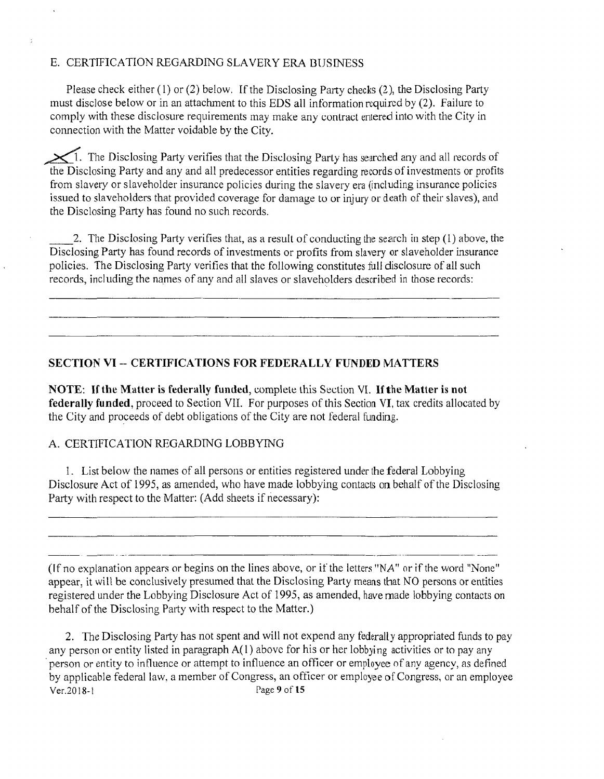#### E. CERTIFICATION REGARDING SLAVERY ERA BUSINESS

Please check either (1) or (2) below. If the Disclosing Party checks (2), the Disclosing Party must disclose below or in an attachment to this EDS all information required by (2). Failure to comply with these disclosure requirements may make any contract entered into with the City in connection with the Matter voidable by the City.

 $\chi$ <sup>1</sup>. The Disclosing Party verifies that the Disclosing Party has searched any and all records of the Disclosing Party and any and all predecessor entities regarding records of investments or profits from slavery or slaveholder insurance policies during the slavery era (including insurance policies issued to slaveholders that provided coverage for damage to or injury or death of their slaves), and the Disclosing Party has found no such records.

2. The Disclosing Party verifies that, as a result of conducting the search in step (1) above, the Disclosing Party has found records of investments or profits from slavery or slaveholder insurance policies. The Disclosing Party verifies that the following constitutes full disclosure of all such records, including the names of any and all slaves or slaveholders described in those records:

#### **SECTION VI - CERTIFICATIONS FOR FEDERALLY FUNDED MATTERS**

NOTE: If the Matter is federally funded, complete this Section VI. If the Matter is not federally funded, proceed to Section VII. For purposes of this Section VI, tax credits allocated by the City and proceeds of debt obligations of the City are not federal funding.

#### A. CERTIFTCATION REGARDING LOBBYING

1. List belovv the names of all persons or entities registered under the federal Lobbying Disclosure Act of 1995, as amended, who have made lobbying contacts on behalf of the Disclosing Party with respect to the Matter: (Add sheets if necessary):

(If no explanation appears or begins on the lines above, or if the letters "NA" or if the word "None" appear, it will be conclusively presumed that the Disclosing Party means that NO persons or entities registered under the Lobbying Disclosure Act of 1995, as amended, have made lobbying contacts on behalf of the Disclosing Party with respect to the Matter.)

2. The Disclosing Party has not spent and will not expend any federally appropriated funds to pay any person or entity listed in paragraph A(1) above for his or her lobbying activities or to pay any person or entity to influence or attempt to influence an officer or employee of any agency, as defined by applicable federal law, a member of Congress, an officer or employee of Congress, or an employee Ver.2018-1 Page 9 of 15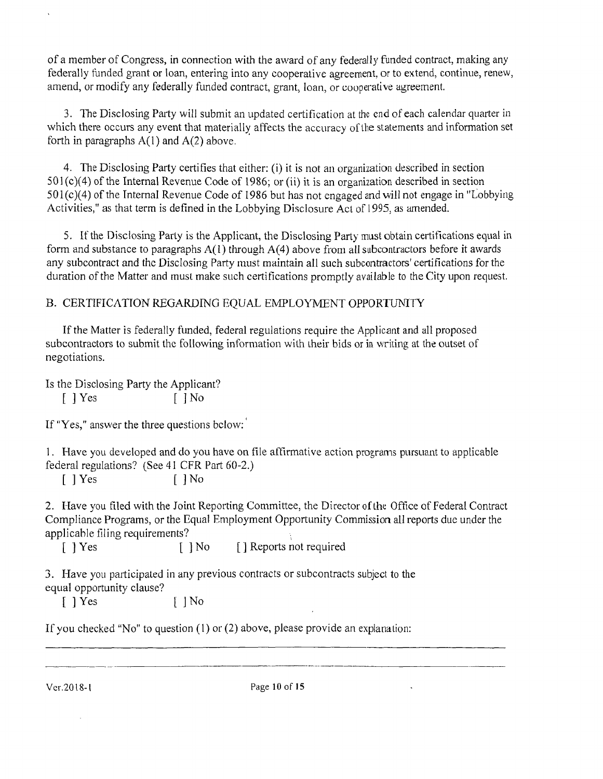ofa member of Congress, in connection with the award of any federally funded contract, making any federally funded grant or loan, entering into any cooperative agreement, or to extend, continue, renew, amend, or modify any federally funded contract, grant, loan, or cooperative agreemenl.

3. The Disclosing Party will submit an updated certification at the end of each calendar quarter in which there occurs any event that materially affects the accuracy of the statements and information set forth in paragraphs  $A(1)$  and  $A(2)$  above.

4. The Disclosing Party certifies that either: (i) it is not an organization described in section  $501(c)(4)$  of the Internal Revenue Code of 1986; or (ii) it is an organization described in section  $501(c)(4)$  of the Internal Revenue Code of 1986 but has not engaged and will not engage in "Lobbying" Activities," as that term is defined in the Lobbying Disclosure Act of 1995, as amended.

5. If the Disclosing Parly is the Applicant, the Disclosing Party must obtain certifications equal in form and substance to paragraphs  $A(1)$  through  $A(4)$  above from all subcontractors before it awards any subcontract and the Disclosing Party must maintain all such subcontractors' certifications for the duration of the Matter and must make such certifications promptly available to the City upon request.

## B. CERTIFICATION REGARDING EQUAL EMPLOYMENT OPPORTUNITY

If the Matter is federally funded, federal regulations require the Applicant and all proposed subcontractors to submit thc following information wilh iheir bids or in writing at the outset of negotiations.

Is the Disclosing Party the Applicant?

 $[ ]$   $Yes$   $[ ]$   $No$ 

If "Yes," answer the three questions bclow:'

1. Flave you developed and do you have on file affirmative action programs pursuant to applicable federal regulations? (See 41 CFR Part 60-2.)

[ ] Yes [ ] No

2. Have you filed with the Joint Reporting Committee, the Director of the Office of Federal Contract Compliance Programs, or the Equal Employment Opportunity Commission all reports due under the applicable filing requirements?

[ ] Yes [ ] No [ ] Reports not required

3. Have you participated in any previous contracts or subcontracts subject to the equal opportunity clause?

 $\lceil$  ] Yes  $\lceil$  | No

If you checked "No" to question  $(1)$  or  $(2)$  above, please provide an explanation: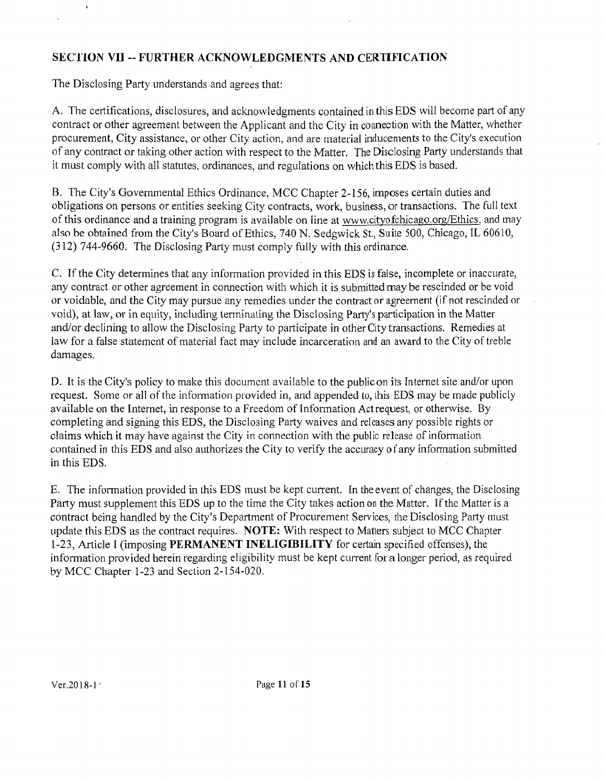## **SECTION YD - FURTHER ACKNOWLEDGMENTS AND CERTIFICATION**

The Disclosing Party understands and agrees that:

 $\bar{\mathbf{r}}$ 

A. The certifications, disclosures, and acknowledgments contained in this EDS will become part of any contract or other agreement between the Applicant and the City in connection with the Matter, whether procurement, City assistance, or other City action, and are material inducements to the City's execuiion ofany coniract or taking other action wilh respect to the Matter. The Disclosing Party understands that it must comply with all statutes, ordinances, and regulations on which this EDS is based.

B. The City's Governmental Ethics Ordinance, MCC Chapter 2-156, imposes certain duties and obligations on persons or entities seeking City contracts, work, business, or transactions. The full text of this ordinance and a training program is available on line at www.cityofchicago.org/Ethics, and may also be obtained from the City's Board of Ethics, 740 N. Sedgwick St., Suite 500, Chicago, IL 60610, (312) 744-9660. The Disclosing Party must comply fully vvith this ordinance.

C. Tf the City determines that any information provided in this EDS is false, incomplete or inaccurate, any contract or other agreement in connection with which it is submitted may be rescinded or be void or voidable, and the City may pursue any remedies under the contract or agreement (if not rescinded or void), at law, or in equity, including terminating the Disclosing Party's participation in the Matter and/or declining to allow the Disclosing Party to participate in other City transactions. Remedies at law for a false statement of material fact may include incarceration and an award to the City of treble damages.

D. It is the City's policy to make this document available to the public on its Internet site and/or upon request. Some or all of the information provided in, and appended to, this EDS may be made publicly available on the Internet, in response to a Freedom of Information Act request, or otherwise. By completing and signing this EDS, the Disclosing Party waives and releases any possible rights or claims which it may have against the City in connection with the public release of informalion contained in this EDS and also authorizes the City to verify the accuracy of any information submitted in this EDS.

E. The information provided in this EDS must be kept current. In the event of changes, the Disclosing Party must supplement this EDS up to the time the City takes action on the Matter. If the Matter is a contract being handled by the City's Department of Procurement Services, the Disclosing Party must update this EDS as the contract requires. NOTE: With respect to Matters subject to MCC Chapter 1-23, Anicle 1 (imposing PERMANENT INELIGIBILITY for certain specified offenses), the information provided herein regarding eligibility must be kept current for a longer period, as required by MCC Chapter 1-23 and Section 2-154-020.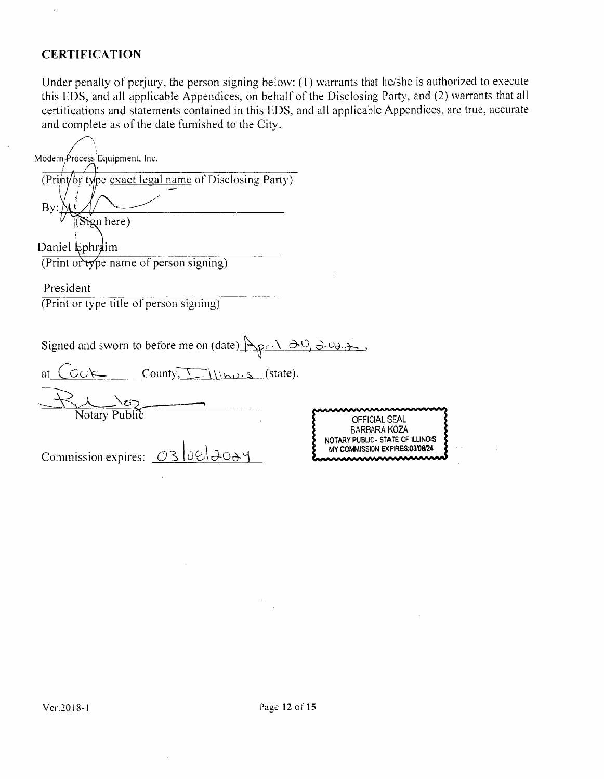## **CERTIFICATION**

 $\sim$ 

Under penalty of perjury, the person signing below: (1) warrants that he/she is authorized to execute this EDS, and all applicable Appendices, on behalf of the Disclosing Party, and (2) warrants that all certifications and statements contained in this EDS, and all applicable Appendices, are true, accurate and complete as of the date furnished to the City.

| Modern Process Equipment, Inc.                                          |                                                                     |
|-------------------------------------------------------------------------|---------------------------------------------------------------------|
| (Print/or type exact legal name of Disclosing Party)                    |                                                                     |
| By:                                                                     |                                                                     |
| Sign here)                                                              |                                                                     |
| Daniel Ephraim                                                          |                                                                     |
| (Print or type name of person signing)                                  |                                                                     |
| President                                                               |                                                                     |
| (Print or type title of person signing)                                 |                                                                     |
|                                                                         |                                                                     |
| Signed and sworn to before me on (date) $\Delta p : \Delta O, \Delta O$ |                                                                     |
| County, $\Box$ (state).<br>at                                           |                                                                     |
|                                                                         |                                                                     |
| Notary Public                                                           | OFFICIAL SEAL<br><b>BARBARA KOZA</b>                                |
|                                                                         | NOTARY PUBLIC - STATE OF ILLINOIS<br>MY COMMISSION EXPIRES:03/08/24 |
| Commission expires: $\boxed{\bigcirc}$ 3 0 $\boxed{\bigcirc}$           |                                                                     |
|                                                                         |                                                                     |

 $\bar{z}$ 

 $\sim 20$ 

 $\sim$   $\sim$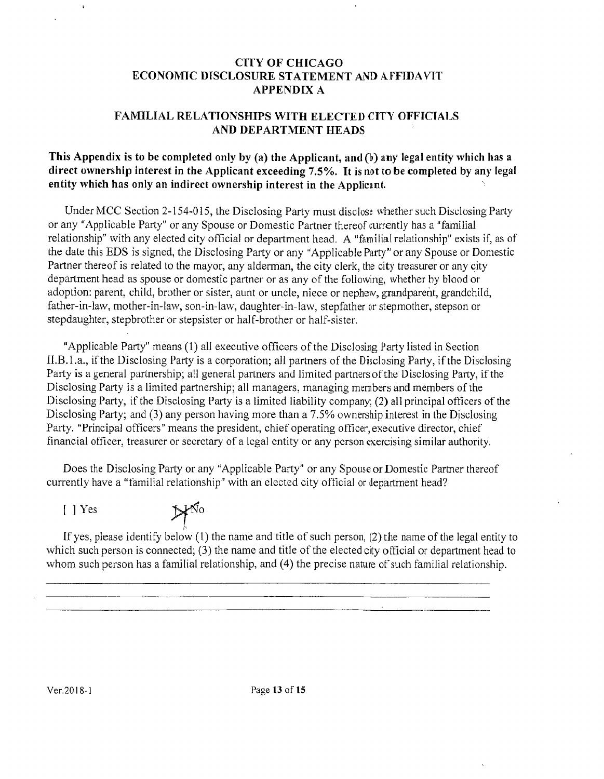#### CITY OF CHICAGO ECONOMIC DISCLOSURE STATEMENT AND AFFIDAVIT APPENDIX A

#### FAMILIAL RELATIONSHIPS WITH ELECTED CITY OFFICIALS AND DEPARTMENT HEADS

#### This Appendix is to be completed only by (a) the Applicant, and (b) any legal entity which has a direct ownership interest in the Applicant exceeding  $7.5%$ . It is not to be completed by any legal entity which has only an indirect ownership interest in the Applicant.

Under MCC Section 2-154-015, the Disclosing Party must disclose whether such Disclosing Party or any "Applicable Party" or any Spouse or Domestic Partner thereof cuirently has a "familial relationship" with any elected city official or department head. A "familial relationship" exists if, as of the date this EDS is signed, the Disclosing Party or any "Applicable Party" or any Spouse or Domestic Partner thereof is related to the mayor, any alderman, the city clerk, the city treasurer or any city department head as spouse or domestic partner or as any of the following, whether by blood or adopfion: parent, child, brother or sisier, aunt or uncle, niece or nephew, grandparent, grandchild, father-in-law, mother-in-law, son-in-law, daughter-in-law, stepfather or stepmother, stepson or stepdaughter, stepbrother or stepsister or half-brother or half-sister.

"Applicable Party" means (1) all executive officers of the Disclosing Party listed in Section II.B.l.a., ifthe Disclosing Party is a corporation; all partners of the Disclosing Party, if the Disclosing Party is a general partnership; all general partners and limited partners of the Disclosing Party, if the Disclosing Party is a liniited partnership; all managers, managing menibers and members of the Disclosing Party, if the Disclosing Party is a limited liability company; (2) all principal officers of the Disclosing Party; and (3) any person having more than a 7.5% ownership interest in the Disclosing Party. "Principal officers" means the president, chief operating officer, executive director, chief financial officer, treasurer or secretary of a legal entity or any person exercising similar authority.

Does the Disclosing Parly or any "Applicable Parly" or any Spouse or Domesfic Partner thereof currently have a "familial relationship" with an elected city official or department head?

[ ] Yes

 $H^{\tilde{N}o}$ 

If yes, please identify below  $(1)$  the name and title of such person,  $(2)$  the name of the legal entity to which such person is connected; (3) the name and title of the elected city official or department head to whom such person has a familial relationship, and (4) the precise nature of such familial relationship.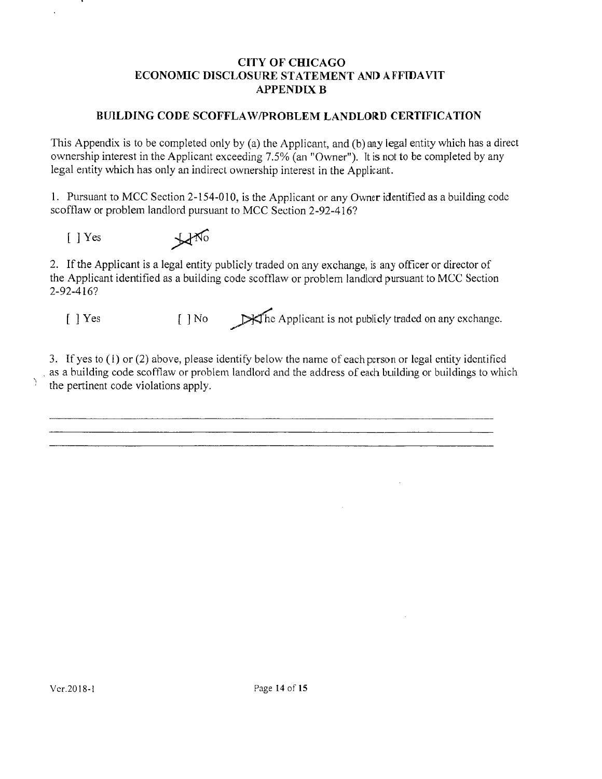#### CITY OF CHICAGO ECONOMIC DISCLOSURE STATEMENT AND AFFIDAVIT APPENDIX B

#### BUILDING CODE SCOFFLAW/PROBLEM LANDLORD CERTIFICATION

This Appendix is to be completed only by (a) the Applicant, and (b) any legal entity which has a direct ownership inierest in the Applicant exceeding 7.5% (an "Owner"). It is not to be completed by any legal entity which has only an indirect ownership interest in the Applicant.

1. Pursuant to MCC Section 2-154-010, is the Applicant or any Owner identified as a building code scofflaw or problem landlord pursuant to MCC Section 2-92-416?

 $[ ] Yes$   $\frac{1}{\sqrt{10}}$ 

2. If the Applicant is a legal entity publicly traded on any exchange, is any officer or director of the Applicant identified as a building code scofflaw or problem landlord pursuant to MCC Section 2-92-416?

Y

[ ] Yes [ ] No  $\mathbb{R}$ The Applicant is not publicly traded on any exchange.

3. If yes to  $(1)$  or  $(2)$  above, please identify below the name of each person or legal entity identified as a building code scofflaw or problem landlord and the address ofeach building or buildings to which the pertinent code violations apply.